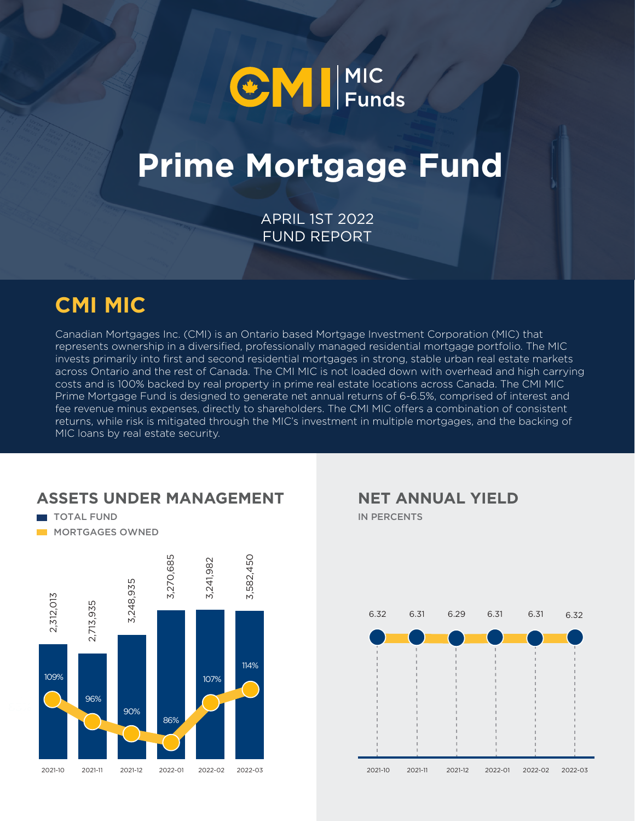

# **Prime Mortgage Fund**

APRIL 1ST 2022 FUND REPORT

### **CMI MIC**

Canadian Mortgages Inc. (CMI) is an Ontario based Mortgage Investment Corporation (MIC) that represents ownership in a diversified, professionally managed residential mortgage portfolio. The MIC invests primarily into first and second residential mortgages in strong, stable urban real estate markets across Ontario and the rest of Canada. The CMI MIC is not loaded down with overhead and high carrying costs and is 100% backed by real property in prime real estate locations across Canada. The CMI MIC Prime Mortgage Fund is designed to generate net annual returns of 6-6.5%, comprised of interest and fee revenue minus expenses, directly to shareholders. The CMI MIC offers a combination of consistent returns, while risk is mitigated through the MIC's investment in multiple mortgages, and the backing of MIC loans by real estate security.

#### **ASSETS UNDER MANAGEMENT**

TOTAL FUND **MORTGAGES OWNED** 



IN PERCENTS **NET ANNUAL YIELD**

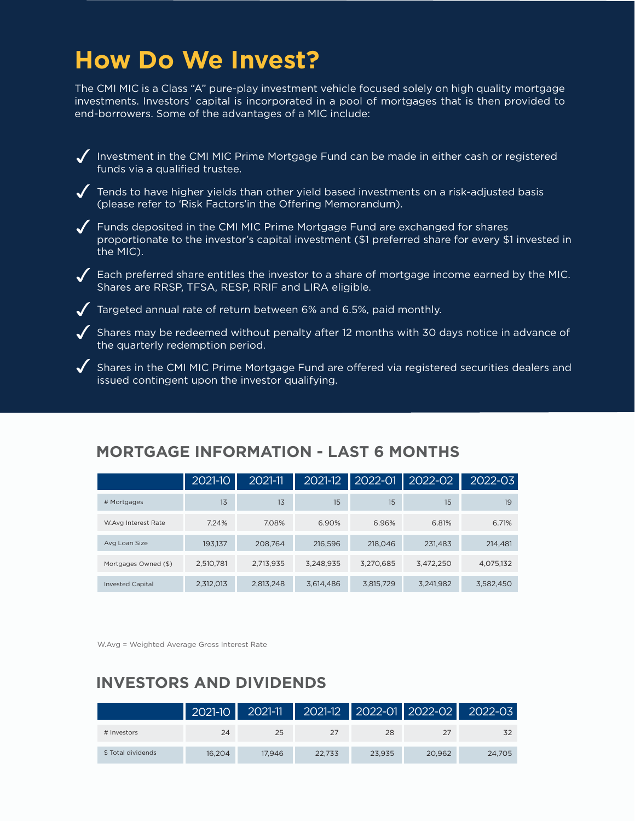### **How Do We Invest?**

The CMI MIC is a Class "A" pure-play investment vehicle focused solely on high quality mortgage investments. Investors' capital is incorporated in a pool of mortgages that is then provided to end-borrowers. Some of the advantages of a MIC include:

Investment in the CMI MIC Prime Mortgage Fund can be made in either cash or registered funds via a qualified trustee.

 $\sqrt{\phantom{a}}$  Tends to have higher yields than other yield based investments on a risk-adjusted basis (please refer to 'Risk Factors'in the Offering Memorandum).

Funds deposited in the CMI MIC Prime Mortgage Fund are exchanged for shares proportionate to the investor's capital investment (\$1 preferred share for every \$1 invested in the MIC).

 $\sqrt{ }$  Each preferred share entitles the investor to a share of mortgage income earned by the MIC. Shares are RRSP, TFSA, RESP, RRIF and LIRA eligible.

 $\checkmark$  Targeted annual rate of return between 6% and 6.5%, paid monthly.

 $\blacktriangledown$  Shares may be redeemed without penalty after 12 months with 30 days notice in advance of the quarterly redemption period.

 $\blacklozenge$  Shares in the CMI MIC Prime Mortgage Fund are offered via registered securities dealers and issued contingent upon the investor qualifying.

|                         | $2021 - 10$ | 2021-11   | $2021 - 12$ | 2022-01   | 2022-02   | 2022-03   |
|-------------------------|-------------|-----------|-------------|-----------|-----------|-----------|
| # Mortgages             | 13          | 13        | 15          | 15        | 15        | 19        |
| W.Avg Interest Rate     | 7.24%       | 7.08%     | 6.90%       | 6.96%     | 6.81%     | 6.71%     |
| Avg Loan Size           | 193,137     | 208,764   | 216,596     | 218,046   | 231,483   | 214,481   |
| Mortgages Owned (\$)    | 2,510,781   | 2,713,935 | 3.248.935   | 3,270,685 | 3,472,250 | 4,075,132 |
| <b>Invested Capital</b> | 2,312,013   | 2,813,248 | 3,614,486   | 3,815,729 | 3.241.982 | 3.582.450 |

#### **MORTGAGE INFORMATION - LAST 6 MONTHS**

W.Avg = Weighted Average Gross Interest Rate

#### **INVESTORS AND DIVIDENDS**

|                    | $2021-10$ | 2021-11 |        |        |        | 2021-12 2022-01 2022-02 2022-03 |
|--------------------|-----------|---------|--------|--------|--------|---------------------------------|
| # Investors        | 24        | 25      |        | 28     |        |                                 |
| \$ Total dividends | 16.204    | 17.946  | 22.733 | 23.935 | 20.962 | 24.705                          |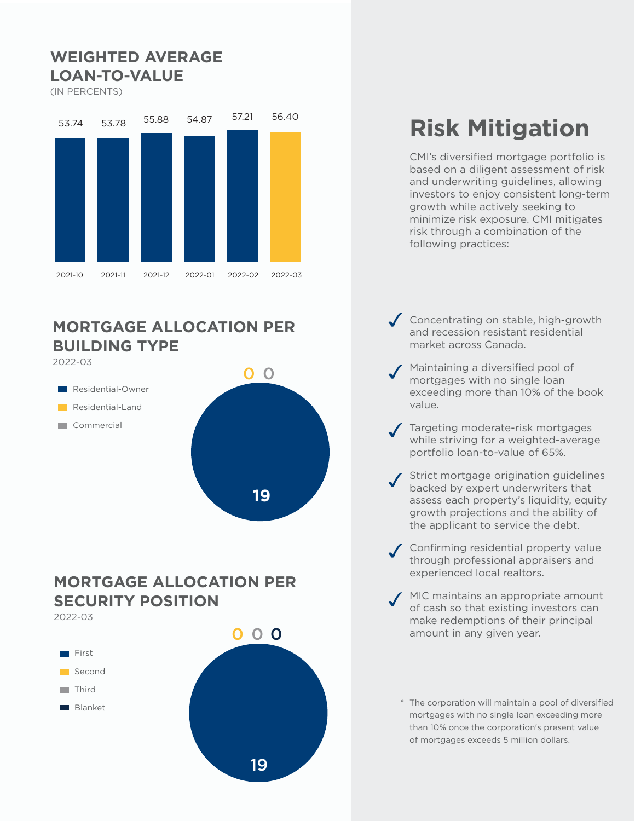#### **WEIGHTED AVERAGE LOAN-TO-VALUE**

(IN PERCENTS)



#### **MORTGAGE ALLOCATION PER BUILDING TYPE**



#### **MORTGAGE ALLOCATION PER SECURITY POSITION**

2022-03



## **Risk Mitigation**

CMI's diversified mortgage portfolio is based on a diligent assessment of risk and underwriting guidelines, allowing investors to enjoy consistent long-term growth while actively seeking to minimize risk exposure. CMI mitigates risk through a combination of the following practices:

- Concentrating on stable, high-growth and recession resistant residential market across Canada.
- Maintaining a diversified pool of mortgages with no single loan exceeding more than 10% of the book value.
- Targeting moderate-risk mortgages while striving for a weighted-average portfolio loan-to-value of 65%.
- Strict mortgage origination guidelines backed by expert underwriters that assess each property's liquidity, equity growth projections and the ability of the applicant to service the debt.
- Confirming residential property value through professional appraisers and experienced local realtors.
- MIC maintains an appropriate amount of cash so that existing investors can make redemptions of their principal amount in any given year.
	- \* The corporation will maintain a pool of diversified mortgages with no single loan exceeding more than 10% once the corporation's present value of mortgages exceeds 5 million dollars.